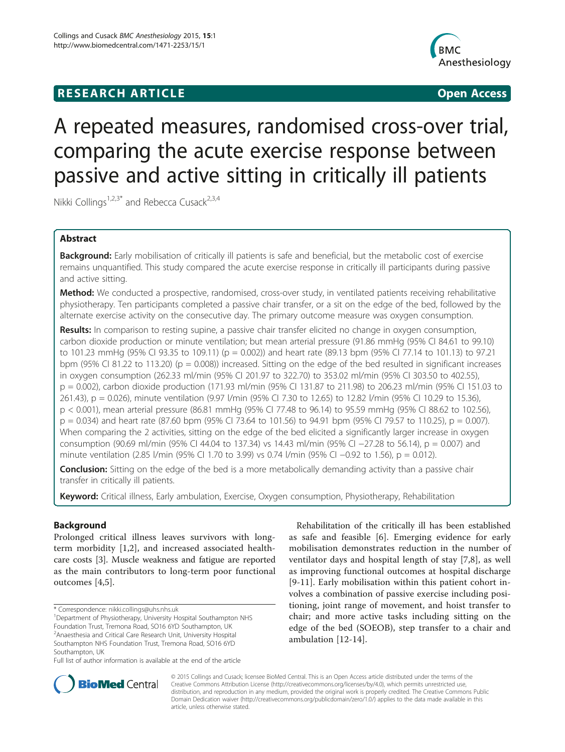# **RESEARCH ARTICLE Example 2014 CONSIDERING CONSIDERING CONSIDERING CONSIDERING CONSIDERING CONSIDERING CONSIDERING CONSIDERING CONSIDERING CONSIDERING CONSIDERING CONSIDERING CONSIDERING CONSIDERING CONSIDERING CONSIDE**



# A repeated measures, randomised cross-over trial, comparing the acute exercise response between passive and active sitting in critically ill patients

Nikki Collings<sup>1,2,3\*</sup> and Rebecca Cusack<sup>2,3,4</sup>

# Abstract

Background: Early mobilisation of critically ill patients is safe and beneficial, but the metabolic cost of exercise remains unquantified. This study compared the acute exercise response in critically ill participants during passive and active sitting.

Method: We conducted a prospective, randomised, cross-over study, in ventilated patients receiving rehabilitative physiotherapy. Ten participants completed a passive chair transfer, or a sit on the edge of the bed, followed by the alternate exercise activity on the consecutive day. The primary outcome measure was oxygen consumption.

Results: In comparison to resting supine, a passive chair transfer elicited no change in oxygen consumption, carbon dioxide production or minute ventilation; but mean arterial pressure (91.86 mmHg (95% CI 84.61 to 99.10) to 101.23 mmHg (95% CI 93.35 to 109.11) (p = 0.002)) and heart rate (89.13 bpm (95% CI 77.14 to 101.13) to 97.21 bpm (95% CI 81.22 to 113.20) ( $p = 0.008$ )) increased. Sitting on the edge of the bed resulted in significant increases in oxygen consumption (262.33 ml/min (95% CI 201.97 to 322.70) to 353.02 ml/min (95% CI 303.50 to 402.55), p = 0.002), carbon dioxide production (171.93 ml/min (95% CI 131.87 to 211.98) to 206.23 ml/min (95% CI 151.03 to 261.43), p = 0.026), minute ventilation (9.97 l/min (95% CI 7.30 to 12.65) to 12.82 l/min (95% CI 10.29 to 15.36), p < 0.001), mean arterial pressure (86.81 mmHg (95% CI 77.48 to 96.14) to 95.59 mmHg (95% CI 88.62 to 102.56),  $p = 0.034$ ) and heart rate (87.60 bpm (95% CI 73.64 to 101.56) to 94.91 bpm (95% CI 79.57 to 110.25),  $p = 0.007$ ). When comparing the 2 activities, sitting on the edge of the bed elicited a significantly larger increase in oxygen consumption (90.69 ml/min (95% CI 44.04 to 137.34) vs 14.43 ml/min (95% CI −27.28 to 56.14), p = 0.007) and minute ventilation (2.85 l/min (95% CI 1.70 to 3.99) vs 0.74 l/min (95% CI −0.92 to 1.56), p = 0.012).

**Conclusion:** Sitting on the edge of the bed is a more metabolically demanding activity than a passive chair transfer in critically ill patients.

Keyword: Critical illness, Early ambulation, Exercise, Oxygen consumption, Physiotherapy, Rehabilitation

# Background

Prolonged critical illness leaves survivors with longterm morbidity [\[1](#page-7-0),[2\]](#page-7-0), and increased associated healthcare costs [[3\]](#page-7-0). Muscle weakness and fatigue are reported as the main contributors to long-term poor functional outcomes [[4,5](#page-7-0)].

Southampton NHS Foundation Trust, Tremona Road, SO16 6YD Southampton, UK

Rehabilitation of the critically ill has been established as safe and feasible [\[6](#page-7-0)]. Emerging evidence for early mobilisation demonstrates reduction in the number of ventilator days and hospital length of stay [[7,8](#page-7-0)], as well as improving functional outcomes at hospital discharge [[9](#page-7-0)-[11\]](#page-7-0). Early mobilisation within this patient cohort involves a combination of passive exercise including positioning, joint range of movement, and hoist transfer to chair; and more active tasks including sitting on the edge of the bed (SOEOB), step transfer to a chair and ambulation [[12](#page-7-0)-[14\]](#page-7-0).



© 2015 Collings and Cusack; licensee BioMed Central. This is an Open Access article distributed under the terms of the Creative Commons Attribution License (<http://creativecommons.org/licenses/by/4.0>), which permits unrestricted use, distribution, and reproduction in any medium, provided the original work is properly credited. The Creative Commons Public Domain Dedication waiver [\(http://creativecommons.org/publicdomain/zero/1.0/\)](http://creativecommons.org/publicdomain/zero/1.0/) applies to the data made available in this article, unless otherwise stated.

<sup>\*</sup> Correspondence: [nikki.collings@uhs.nhs.uk](mailto:nikki.collings@uhs.nhs.uk) <sup>1</sup>

<sup>&</sup>lt;sup>1</sup>Department of Physiotherapy, University Hospital Southampton NHS Foundation Trust, Tremona Road, SO16 6YD Southampton, UK <sup>2</sup> Anaesthesia and Critical Care Research Unit, University Hospital

Full list of author information is available at the end of the article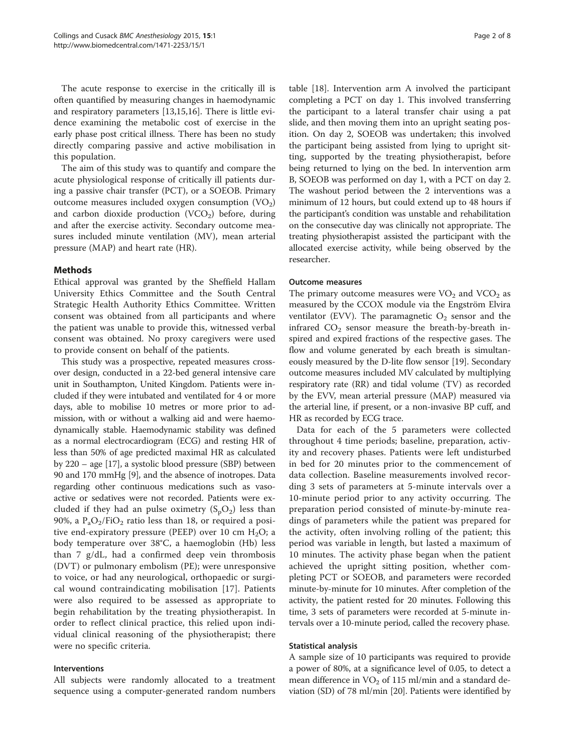The acute response to exercise in the critically ill is often quantified by measuring changes in haemodynamic and respiratory parameters [\[13,15,16\]](#page-7-0). There is little evidence examining the metabolic cost of exercise in the early phase post critical illness. There has been no study directly comparing passive and active mobilisation in this population.

The aim of this study was to quantify and compare the acute physiological response of critically ill patients during a passive chair transfer (PCT), or a SOEOB. Primary outcome measures included oxygen consumption  $(VO<sub>2</sub>)$ and carbon dioxide production  $(VCO<sub>2</sub>)$  before, during and after the exercise activity. Secondary outcome measures included minute ventilation (MV), mean arterial pressure (MAP) and heart rate (HR).

# Methods

Ethical approval was granted by the Sheffield Hallam University Ethics Committee and the South Central Strategic Health Authority Ethics Committee. Written consent was obtained from all participants and where the patient was unable to provide this, witnessed verbal consent was obtained. No proxy caregivers were used to provide consent on behalf of the patients.

This study was a prospective, repeated measures crossover design, conducted in a 22-bed general intensive care unit in Southampton, United Kingdom. Patients were included if they were intubated and ventilated for 4 or more days, able to mobilise 10 metres or more prior to admission, with or without a walking aid and were haemodynamically stable. Haemodynamic stability was defined as a normal electrocardiogram (ECG) and resting HR of less than 50% of age predicted maximal HR as calculated by 220 – age [[17](#page-7-0)], a systolic blood pressure (SBP) between 90 and 170 mmHg [\[9](#page-7-0)], and the absence of inotropes. Data regarding other continuous medications such as vasoactive or sedatives were not recorded. Patients were excluded if they had an pulse oximetry  $(S_pO_2)$  less than 90%, a  $P_aO_2/FiO_2$  ratio less than 18, or required a positive end-expiratory pressure (PEEP) over 10 cm  $H_2O$ ; a body temperature over 38°C, a haemoglobin (Hb) less than 7 g/dL, had a confirmed deep vein thrombosis (DVT) or pulmonary embolism (PE); were unresponsive to voice, or had any neurological, orthopaedic or surgical wound contraindicating mobilisation [\[17](#page-7-0)]. Patients were also required to be assessed as appropriate to begin rehabilitation by the treating physiotherapist. In order to reflect clinical practice, this relied upon individual clinical reasoning of the physiotherapist; there were no specific criteria.

# Interventions

All subjects were randomly allocated to a treatment sequence using a computer-generated random numbers

table [[18\]](#page-7-0). Intervention arm A involved the participant completing a PCT on day 1. This involved transferring the participant to a lateral transfer chair using a pat slide, and then moving them into an upright seating position. On day 2, SOEOB was undertaken; this involved the participant being assisted from lying to upright sitting, supported by the treating physiotherapist, before being returned to lying on the bed. In intervention arm B, SOEOB was performed on day 1, with a PCT on day 2. The washout period between the 2 interventions was a minimum of 12 hours, but could extend up to 48 hours if the participant's condition was unstable and rehabilitation on the consecutive day was clinically not appropriate. The treating physiotherapist assisted the participant with the allocated exercise activity, while being observed by the researcher.

# Outcome measures

The primary outcome measures were  $VO<sub>2</sub>$  and  $VCO<sub>2</sub>$  as measured by the CCOX module via the Engström Elvira ventilator (EVV). The paramagnetic  $O_2$  sensor and the infrared  $CO<sub>2</sub>$  sensor measure the breath-by-breath inspired and expired fractions of the respective gases. The flow and volume generated by each breath is simultaneously measured by the D-lite flow sensor [\[19](#page-7-0)]. Secondary outcome measures included MV calculated by multiplying respiratory rate (RR) and tidal volume (TV) as recorded by the EVV, mean arterial pressure (MAP) measured via the arterial line, if present, or a non-invasive BP cuff, and HR as recorded by ECG trace.

Data for each of the 5 parameters were collected throughout 4 time periods; baseline, preparation, activity and recovery phases. Patients were left undisturbed in bed for 20 minutes prior to the commencement of data collection. Baseline measurements involved recording 3 sets of parameters at 5-minute intervals over a 10-minute period prior to any activity occurring. The preparation period consisted of minute-by-minute readings of parameters while the patient was prepared for the activity, often involving rolling of the patient; this period was variable in length, but lasted a maximum of 10 minutes. The activity phase began when the patient achieved the upright sitting position, whether completing PCT or SOEOB, and parameters were recorded minute-by-minute for 10 minutes. After completion of the activity, the patient rested for 20 minutes. Following this time, 3 sets of parameters were recorded at 5-minute intervals over a 10-minute period, called the recovery phase.

## Statistical analysis

A sample size of 10 participants was required to provide a power of 80%, at a significance level of 0.05, to detect a mean difference in  $VO<sub>2</sub>$  of 115 ml/min and a standard deviation (SD) of 78 ml/min [[20](#page-7-0)]. Patients were identified by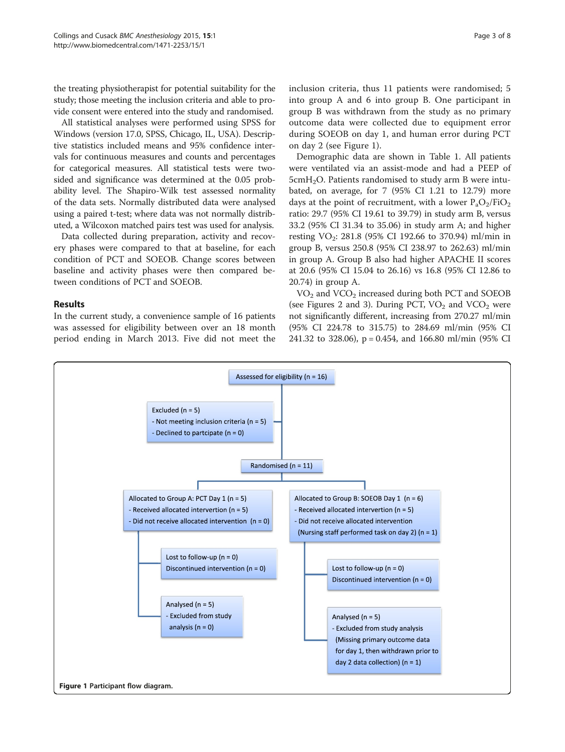the treating physiotherapist for potential suitability for the study; those meeting the inclusion criteria and able to provide consent were entered into the study and randomised.

All statistical analyses were performed using SPSS for Windows (version 17.0, SPSS, Chicago, IL, USA). Descriptive statistics included means and 95% confidence intervals for continuous measures and counts and percentages for categorical measures. All statistical tests were twosided and significance was determined at the 0.05 probability level. The Shapiro-Wilk test assessed normality of the data sets. Normally distributed data were analysed using a paired t-test; where data was not normally distributed, a Wilcoxon matched pairs test was used for analysis.

Data collected during preparation, activity and recovery phases were compared to that at baseline, for each condition of PCT and SOEOB. Change scores between baseline and activity phases were then compared between conditions of PCT and SOEOB.

# Results

In the current study, a convenience sample of 16 patients was assessed for eligibility between over an 18 month period ending in March 2013. Five did not meet the inclusion criteria, thus 11 patients were randomised; 5 into group A and 6 into group B. One participant in group B was withdrawn from the study as no primary outcome data were collected due to equipment error during SOEOB on day 1, and human error during PCT on day 2 (see Figure 1).

Demographic data are shown in Table [1.](#page-3-0) All patients were ventilated via an assist-mode and had a PEEP of  $5cmH<sub>2</sub>O$ . Patients randomised to study arm B were intubated, on average, for 7 (95% CI 1.21 to 12.79) more days at the point of recruitment, with a lower  $P_aO_2/FiO_2$ ratio: 29.7 (95% CI 19.61 to 39.79) in study arm B, versus 33.2 (95% CI 31.34 to 35.06) in study arm A; and higher resting VO<sub>2</sub>: 281.8 (95% CI 192.66 to 370.94) ml/min in group B, versus 250.8 (95% CI 238.97 to 262.63) ml/min in group A. Group B also had higher APACHE II scores at 20.6 (95% CI 15.04 to 26.16) vs 16.8 (95% CI 12.86 to 20.74) in group A.

 $VO<sub>2</sub>$  and  $VCO<sub>2</sub>$  increased during both PCT and SOEOB (see Figures [2](#page-3-0) and [3\)](#page-4-0). During PCT,  $VO<sub>2</sub>$  and  $VCO<sub>2</sub>$  were not significantly different, increasing from 270.27 ml/min (95% CI 224.78 to 315.75) to 284.69 ml/min (95% CI 241.32 to 328.06), p = 0.454, and 166.80 ml/min (95% CI

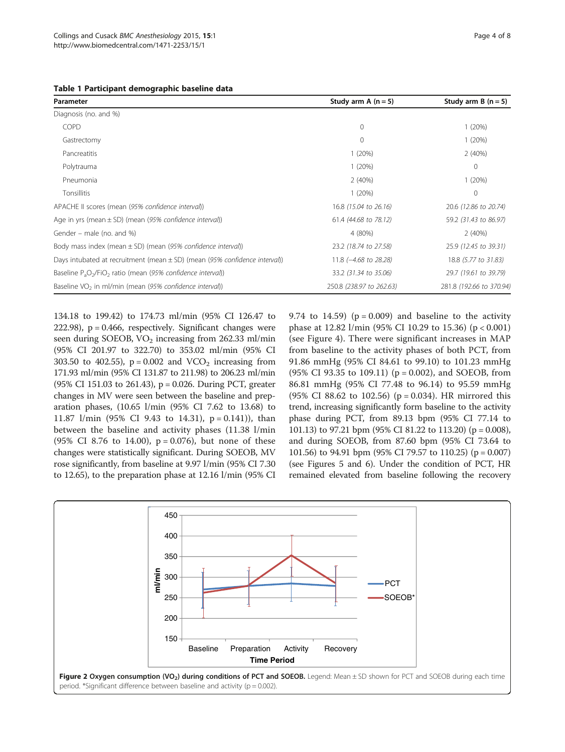<span id="page-3-0"></span>

|  |  | Table 1 Participant demographic baseline data |  |  |
|--|--|-----------------------------------------------|--|--|
|--|--|-----------------------------------------------|--|--|

| Parameter                                                                      | Study arm A $(n=5)$              | Study arm B $(n = 5)$    |
|--------------------------------------------------------------------------------|----------------------------------|--------------------------|
| Diagnosis (no. and %)                                                          |                                  |                          |
| <b>COPD</b>                                                                    | 0                                | 1(20%)                   |
| Gastrectomy                                                                    | $\circ$                          | 1(20%)                   |
| Pancreatitis                                                                   | 1(20%)                           | 2(40%)                   |
| Polytrauma                                                                     | 1(20%)                           | 0                        |
| Pneumonia                                                                      | 2(40%)                           | 1(20%)                   |
| <b>Tonsillitis</b>                                                             | 1(20%)                           | $\Omega$                 |
| APACHE II scores (mean (95% confidence interval))                              | 16.8 (15.04 to 26.16)            | 20.6 (12.86 to 20.74)    |
| Age in yrs (mean $\pm$ SD) (mean (95% confidence interval))                    | 61.4 (44.68 to 78.12)            | 59.2 (31.43 to 86.97)    |
| Gender – male (no. and %)                                                      | 4 (80%)                          | 2(40%)                   |
| Body mass index (mean $\pm$ SD) (mean (95% confidence interval))               | 23.2 (18.74 to 27.58)            | 25.9 (12.45 to 39.31)    |
| Days intubated at recruitment (mean $\pm$ SD) (mean (95% confidence interval)) | 11.8 $(-4.68 \text{ to } 28.28)$ | 18.8 (5.77 to 31.83)     |
| Baseline $P_aO_2/FiO_2$ ratio (mean (95% confidence interval))                 | 33.2 (31.34 to 35.06)            | 29.7 (19.61 to 39.79)    |
| Baseline VO <sub>2</sub> in ml/min (mean $(95%$ confidence interval))          | 250.8 (238.97 to 262.63)         | 281.8 (192.66 to 370.94) |

134.18 to 199.42) to 174.73 ml/min (95% CI 126.47 to 222.98),  $p = 0.466$ , respectively. Significant changes were seen during SOEOB,  $VO<sub>2</sub>$  increasing from 262.33 ml/min (95% CI 201.97 to 322.70) to 353.02 ml/min (95% CI 303.50 to 402.55),  $p = 0.002$  and  $VCO<sub>2</sub>$  increasing from 171.93 ml/min (95% CI 131.87 to 211.98) to 206.23 ml/min (95% CI 151.03 to 261.43), p = 0.026. During PCT, greater changes in MV were seen between the baseline and preparation phases, (10.65 l/min (95% CI 7.62 to 13.68) to 11.87  $1/min$  (95% CI 9.43 to 14.31), p = 0.141)), than between the baseline and activity phases (11.38 l/min (95% CI 8.76 to 14.00),  $p = 0.076$ ), but none of these changes were statistically significant. During SOEOB, MV rose significantly, from baseline at 9.97 l/min (95% CI 7.30 to 12.65), to the preparation phase at 12.16 l/min (95% CI

9.74 to 14.59) ( $p = 0.009$ ) and baseline to the activity phase at 12.82 l/min (95% CI 10.29 to 15.36) (p < 0.001) (see Figure [4\)](#page-4-0). There were significant increases in MAP from baseline to the activity phases of both PCT, from 91.86 mmHg (95% CI 84.61 to 99.10) to 101.23 mmHg (95% CI 93.35 to 109.11) ( $p = 0.002$ ), and SOEOB, from 86.81 mmHg (95% CI 77.48 to 96.14) to 95.59 mmHg (95% CI 88.62 to 102.56) ( $p = 0.034$ ). HR mirrored this trend, increasing significantly form baseline to the activity phase during PCT, from 89.13 bpm (95% CI 77.14 to 101.13) to 97.21 bpm (95% CI 81.22 to 113.20) (p = 0.008), and during SOEOB, from 87.60 bpm (95% CI 73.64 to 101.56) to 94.91 bpm (95% CI 79.57 to 110.25) (p = 0.007) (see Figures [5](#page-5-0) and [6](#page-5-0)). Under the condition of PCT, HR remained elevated from baseline following the recovery

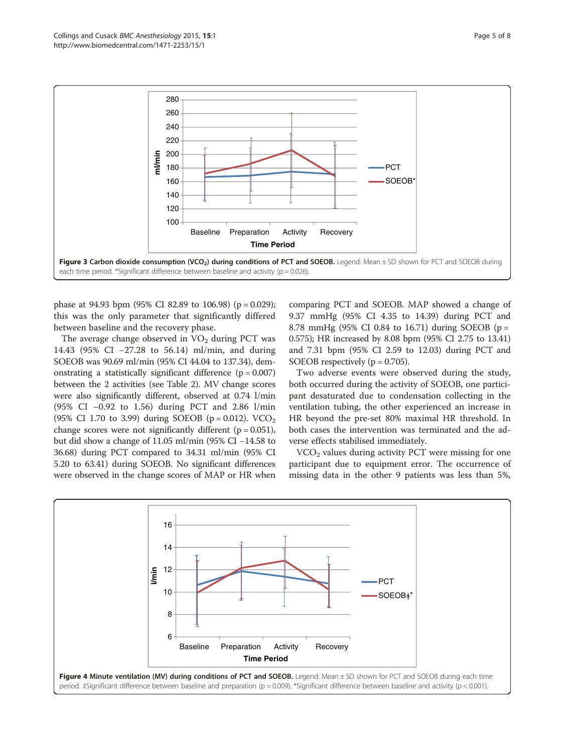<span id="page-4-0"></span>

phase at 94.93 bpm (95% CI 82.89 to 106.98) ( $p = 0.029$ ); this was the only parameter that significantly differed between baseline and the recovery phase.

The average change observed in  $VO<sub>2</sub>$  during PCT was 14.43 (95% CI −27.28 to 56.14) ml/min, and during SOEOB was 90.69 ml/min (95% CI 44.04 to 137.34), demonstrating a statistically significant difference  $(p = 0.007)$ between the 2 activities (see Table [2](#page-6-0)). MV change scores were also significantly different, observed at 0.74 l/min (95% CI −0.92 to 1.56) during PCT and 2.86 l/min (95% CI 1.70 to 3.99) during SOEOB ( $p = 0.012$ ). VCO<sub>2</sub> change scores were not significantly different  $(p = 0.051)$ , but did show a change of 11.05 ml/min (95% CI −14.58 to 36.68) during PCT compared to 34.31 ml/min (95% CI 5.20 to 63.41) during SOEOB. No significant differences were observed in the change scores of MAP or HR when

comparing PCT and SOEOB. MAP showed a change of 9.37 mmHg (95% CI 4.35 to 14.39) during PCT and 8.78 mmHg (95% CI 0.84 to 16.71) during SOEOB (p = 0.575); HR increased by 8.08 bpm (95% CI 2.75 to 13.41) and 7.31 bpm (95% CI 2.59 to 12.03) during PCT and SOEOB respectively ( $p = 0.705$ ).

Two adverse events were observed during the study, both occurred during the activity of SOEOB, one participant desaturated due to condensation collecting in the ventilation tubing, the other experienced an increase in HR beyond the pre-set 80% maximal HR threshold. In both cases the intervention was terminated and the adverse effects stabilised immediately.

 $VCO<sub>2</sub>$  values during activity PCT were missing for one participant due to equipment error. The occurrence of missing data in the other 9 patients was less than 5%,

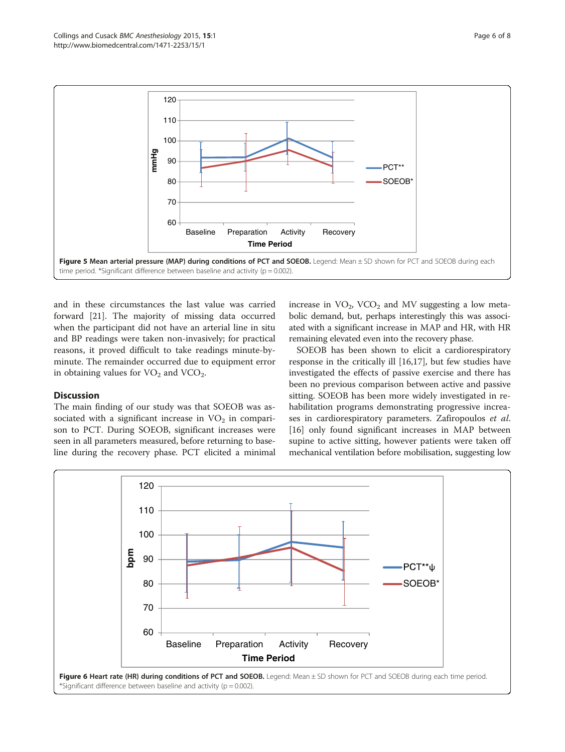<span id="page-5-0"></span>

and in these circumstances the last value was carried forward [[21](#page-7-0)]. The majority of missing data occurred when the participant did not have an arterial line in situ and BP readings were taken non-invasively; for practical reasons, it proved difficult to take readings minute-byminute. The remainder occurred due to equipment error in obtaining values for  $VO<sub>2</sub>$  and  $VCO<sub>2</sub>$ .

# **Discussion**

The main finding of our study was that SOEOB was associated with a significant increase in  $VO<sub>2</sub>$  in comparison to PCT. During SOEOB, significant increases were seen in all parameters measured, before returning to baseline during the recovery phase. PCT elicited a minimal increase in  $VO<sub>2</sub>$ , VCO<sub>2</sub> and MV suggesting a low metabolic demand, but, perhaps interestingly this was associated with a significant increase in MAP and HR, with HR remaining elevated even into the recovery phase.

SOEOB has been shown to elicit a cardiorespiratory response in the critically ill [[16](#page-7-0),[17](#page-7-0)], but few studies have investigated the effects of passive exercise and there has been no previous comparison between active and passive sitting. SOEOB has been more widely investigated in rehabilitation programs demonstrating progressive increases in cardiorespiratory parameters. Zafiropoulos et al. [[16\]](#page-7-0) only found significant increases in MAP between supine to active sitting, however patients were taken off mechanical ventilation before mobilisation, suggesting low

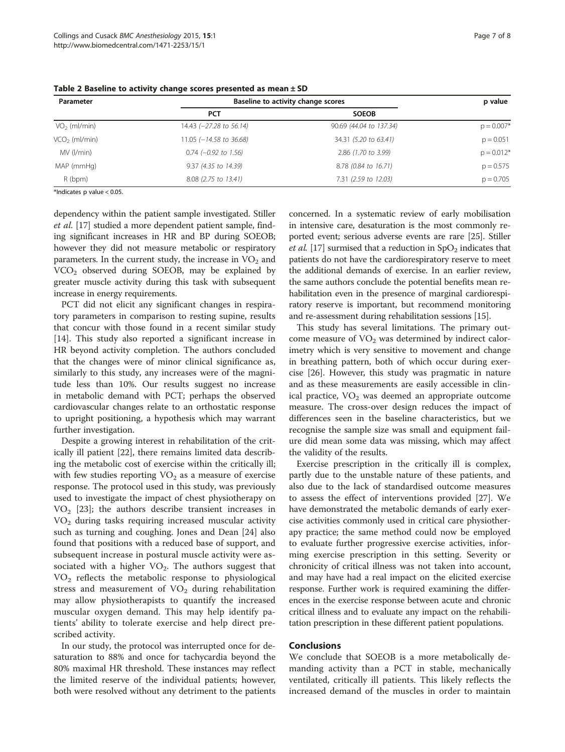| Parameter                 | Baseline to activity change scores |                         | p value      |
|---------------------------|------------------------------------|-------------------------|--------------|
|                           | <b>PCT</b>                         | <b>SOEOB</b>            |              |
| $VO2$ (ml/min)            | 14.43 $(-27.28 \text{ to } 56.14)$ | 90.69 (44.04 to 137.34) | $p = 0.007*$ |
| VCO <sub>2</sub> (ml/min) | $11.05$ ( $-14.58$ to 36.68)       | 34.31 (5.20 to 63.41)   | $p = 0.051$  |
| MV (l/min)                | $0.74$ (-0.92 to 1.56)             | 2.86 (1.70 to 3.99)     | $p = 0.012*$ |
| MAP (mmHg)                | 9.37 (4.35 to 14.39)               | 8.78 (0.84 to 16.71)    | $p = 0.575$  |
| R (bpm)                   | 8.08 (2.75 to 13.41)               | 7.31 (2.59 to 12.03)    | $p = 0.705$  |

<span id="page-6-0"></span>Table 2 Baseline to activity change scores presented as mean  $\pm$  SD

\*Indicates p value < 0.05.

dependency within the patient sample investigated. Stiller et al. [[17\]](#page-7-0) studied a more dependent patient sample, finding significant increases in HR and BP during SOEOB; however they did not measure metabolic or respiratory parameters. In the current study, the increase in  $VO<sub>2</sub>$  and VCO2 observed during SOEOB, may be explained by greater muscle activity during this task with subsequent increase in energy requirements.

PCT did not elicit any significant changes in respiratory parameters in comparison to resting supine, results that concur with those found in a recent similar study [[14\]](#page-7-0). This study also reported a significant increase in HR beyond activity completion. The authors concluded that the changes were of minor clinical significance as, similarly to this study, any increases were of the magnitude less than 10%. Our results suggest no increase in metabolic demand with PCT; perhaps the observed cardiovascular changes relate to an orthostatic response to upright positioning, a hypothesis which may warrant further investigation.

Despite a growing interest in rehabilitation of the critically ill patient [[22\]](#page-7-0), there remains limited data describing the metabolic cost of exercise within the critically ill; with few studies reporting  $VO<sub>2</sub>$  as a measure of exercise response. The protocol used in this study, was previously used to investigate the impact of chest physiotherapy on  $VO<sub>2</sub>$  [[23](#page-7-0)]; the authors describe transient increases in VO2 during tasks requiring increased muscular activity such as turning and coughing. Jones and Dean [\[24](#page-7-0)] also found that positions with a reduced base of support, and subsequent increase in postural muscle activity were associated with a higher  $VO<sub>2</sub>$ . The authors suggest that  $VO<sub>2</sub>$  reflects the metabolic response to physiological stress and measurement of  $VO<sub>2</sub>$  during rehabilitation may allow physiotherapists to quantify the increased muscular oxygen demand. This may help identify patients' ability to tolerate exercise and help direct prescribed activity.

In our study, the protocol was interrupted once for desaturation to 88% and once for tachycardia beyond the 80% maximal HR threshold. These instances may reflect the limited reserve of the individual patients; however, both were resolved without any detriment to the patients

concerned. In a systematic review of early mobilisation in intensive care, desaturation is the most commonly reported event; serious adverse events are rare [\[25](#page-7-0)]. Stiller *et al.* [\[17\]](#page-7-0) surmised that a reduction in  $SpO<sub>2</sub>$  indicates that patients do not have the cardiorespiratory reserve to meet the additional demands of exercise. In an earlier review, the same authors conclude the potential benefits mean rehabilitation even in the presence of marginal cardiorespiratory reserve is important, but recommend monitoring and re-assessment during rehabilitation sessions [[15\]](#page-7-0).

This study has several limitations. The primary outcome measure of  $VO<sub>2</sub>$  was determined by indirect calorimetry which is very sensitive to movement and change in breathing pattern, both of which occur during exercise [\[26](#page-7-0)]. However, this study was pragmatic in nature and as these measurements are easily accessible in clinical practice,  $VO<sub>2</sub>$  was deemed an appropriate outcome measure. The cross-over design reduces the impact of differences seen in the baseline characteristics, but we recognise the sample size was small and equipment failure did mean some data was missing, which may affect the validity of the results.

Exercise prescription in the critically ill is complex, partly due to the unstable nature of these patients, and also due to the lack of standardised outcome measures to assess the effect of interventions provided [[27](#page-7-0)]. We have demonstrated the metabolic demands of early exercise activities commonly used in critical care physiotherapy practice; the same method could now be employed to evaluate further progressive exercise activities, informing exercise prescription in this setting. Severity or chronicity of critical illness was not taken into account, and may have had a real impact on the elicited exercise response. Further work is required examining the differences in the exercise response between acute and chronic critical illness and to evaluate any impact on the rehabilitation prescription in these different patient populations.

# **Conclusions**

We conclude that SOEOB is a more metabolically demanding activity than a PCT in stable, mechanically ventilated, critically ill patients. This likely reflects the increased demand of the muscles in order to maintain